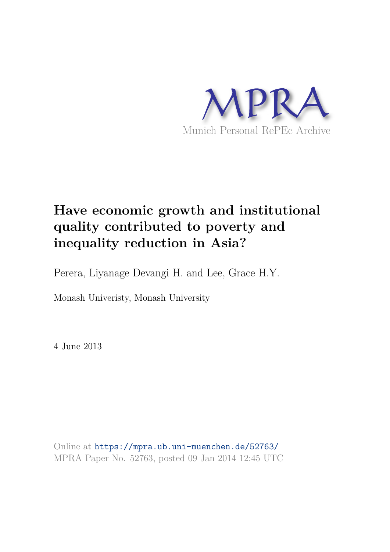

# **Have economic growth and institutional quality contributed to poverty and inequality reduction in Asia?**

Perera, Liyanage Devangi H. and Lee, Grace H.Y.

Monash Univeristy, Monash University

4 June 2013

Online at https://mpra.ub.uni-muenchen.de/52763/ MPRA Paper No. 52763, posted 09 Jan 2014 12:45 UTC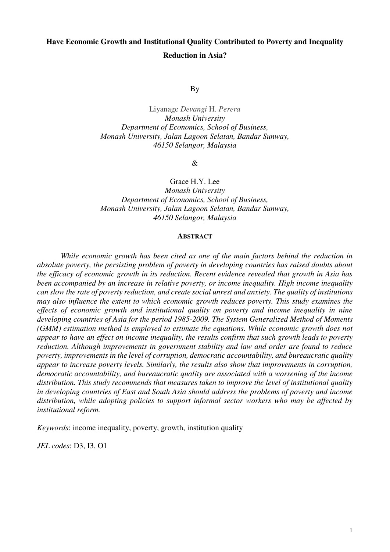# **Have Economic Growth and Institutional Quality Contributed to Poverty and Inequality Reduction in Asia?**

By

Liyanage *Devangi* H. *Perera Monash University Department of Economics, School of Business, Monash University, Jalan Lagoon Selatan, Bandar Sunway, 46150 Selangor, Malaysia*

&

Grace H.Y. Lee *Monash University Department of Economics, School of Business, Monash University, Jalan Lagoon Selatan, Bandar Sunway, 46150 Selangor, Malaysia* 

#### **ABSTRACT**

*While economic growth has been cited as one of the main factors behind the reduction in absolute poverty, the persisting problem of poverty in developing countries has raised doubts about the efficacy of economic growth in its reduction. Recent evidence revealed that growth in Asia has been accompanied by an increase in relative poverty, or income inequality. High income inequality can slow the rate of poverty reduction, and create social unrest and anxiety. The quality of institutions may also influence the extent to which economic growth reduces poverty. This study examines the effects of economic growth and institutional quality on poverty and income inequality in nine developing countries of Asia for the period 1985-2009. The System Generalized Method of Moments (GMM) estimation method is employed to estimate the equations. While economic growth does not appear to have an effect on income inequality, the results confirm that such growth leads to poverty reduction. Although improvements in government stability and law and order are found to reduce poverty, improvements in the level of corruption, democratic accountability, and bureaucratic quality appear to increase poverty levels. Similarly, the results also show that improvements in corruption, democratic accountability, and bureaucratic quality are associated with a worsening of the income distribution. This study recommends that measures taken to improve the level of institutional quality in developing countries of East and South Asia should address the problems of poverty and income distribution, while adopting policies to support informal sector workers who may be affected by institutional reform.* 

*Keywords*: income inequality, poverty, growth, institution quality

*JEL codes*: D3, I3, O1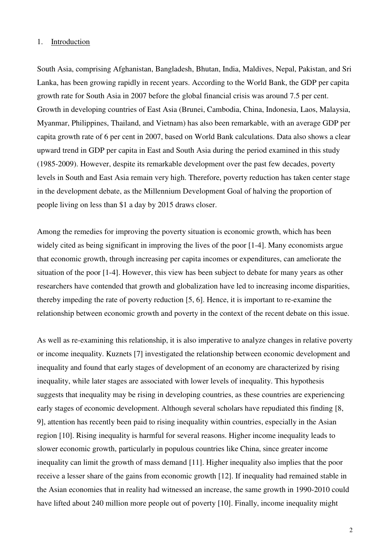# 1. Introduction

South Asia, comprising Afghanistan, Bangladesh, Bhutan, India, Maldives, Nepal, Pakistan, and Sri Lanka, has been growing rapidly in recent years. According to the World Bank, the GDP per capita growth rate for South Asia in 2007 before the global financial crisis was around 7.5 per cent. Growth in developing countries of East Asia (Brunei, Cambodia, China, Indonesia, Laos, Malaysia, Myanmar, Philippines, Thailand, and Vietnam) has also been remarkable, with an average GDP per capita growth rate of 6 per cent in 2007, based on World Bank calculations. Data also shows a clear upward trend in GDP per capita in East and South Asia during the period examined in this study (1985-2009). However, despite its remarkable development over the past few decades, poverty levels in South and East Asia remain very high. Therefore, poverty reduction has taken center stage in the development debate, as the Millennium Development Goal of halving the proportion of people living on less than \$1 a day by 2015 draws closer.

Among the remedies for improving the poverty situation is economic growth, which has been widely cited as being significant in improving the lives of the poor [1-4]. Many economists argue that economic growth, through increasing per capita incomes or expenditures, can ameliorate the situation of the poor [1-4]. However, this view has been subject to debate for many years as other researchers have contended that growth and globalization have led to increasing income disparities, thereby impeding the rate of poverty reduction [5, 6]. Hence, it is important to re-examine the relationship between economic growth and poverty in the context of the recent debate on this issue.

As well as re-examining this relationship, it is also imperative to analyze changes in relative poverty or income inequality. Kuznets [7] investigated the relationship between economic development and inequality and found that early stages of development of an economy are characterized by rising inequality, while later stages are associated with lower levels of inequality. This hypothesis suggests that inequality may be rising in developing countries, as these countries are experiencing early stages of economic development. Although several scholars have repudiated this finding [8, 9], attention has recently been paid to rising inequality within countries, especially in the Asian region [10]. Rising inequality is harmful for several reasons. Higher income inequality leads to slower economic growth, particularly in populous countries like China, since greater income inequality can limit the growth of mass demand [11]. Higher inequality also implies that the poor receive a lesser share of the gains from economic growth [12]. If inequality had remained stable in the Asian economies that in reality had witnessed an increase, the same growth in 1990-2010 could have lifted about 240 million more people out of poverty [10]. Finally, income inequality might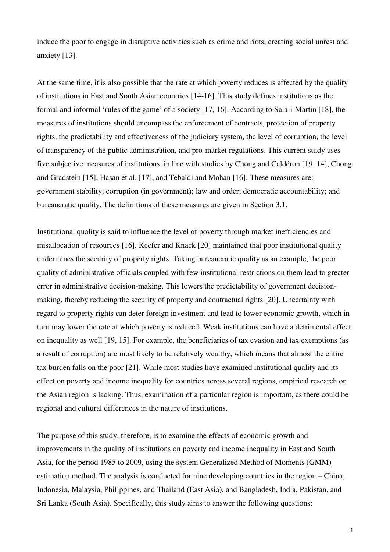induce the poor to engage in disruptive activities such as crime and riots, creating social unrest and anxiety [13].

At the same time, it is also possible that the rate at which poverty reduces is affected by the quality of institutions in East and South Asian countries [14-16]. This study defines institutions as the formal and informal 'rules of the game' of a society [17, 16]. According to Sala-i-Martin [18], the measures of institutions should encompass the enforcement of contracts, protection of property rights, the predictability and effectiveness of the judiciary system, the level of corruption, the level of transparency of the public administration, and pro-market regulations. This current study uses five subjective measures of institutions, in line with studies by Chong and Caldéron [19, 14], Chong and Gradstein [15], Hasan et al. [17], and Tebaldi and Mohan [16]. These measures are: government stability; corruption (in government); law and order; democratic accountability; and bureaucratic quality. The definitions of these measures are given in Section 3.1.

Institutional quality is said to influence the level of poverty through market inefficiencies and misallocation of resources [16]. Keefer and Knack [20] maintained that poor institutional quality undermines the security of property rights. Taking bureaucratic quality as an example, the poor quality of administrative officials coupled with few institutional restrictions on them lead to greater error in administrative decision-making. This lowers the predictability of government decisionmaking, thereby reducing the security of property and contractual rights [20]. Uncertainty with regard to property rights can deter foreign investment and lead to lower economic growth, which in turn may lower the rate at which poverty is reduced. Weak institutions can have a detrimental effect on inequality as well [19, 15]. For example, the beneficiaries of tax evasion and tax exemptions (as a result of corruption) are most likely to be relatively wealthy, which means that almost the entire tax burden falls on the poor [21]. While most studies have examined institutional quality and its effect on poverty and income inequality for countries across several regions, empirical research on the Asian region is lacking. Thus, examination of a particular region is important, as there could be regional and cultural differences in the nature of institutions.

The purpose of this study, therefore, is to examine the effects of economic growth and improvements in the quality of institutions on poverty and income inequality in East and South Asia, for the period 1985 to 2009, using the system Generalized Method of Moments (GMM) estimation method. The analysis is conducted for nine developing countries in the region – China, Indonesia, Malaysia, Philippines, and Thailand (East Asia), and Bangladesh, India, Pakistan, and Sri Lanka (South Asia). Specifically, this study aims to answer the following questions: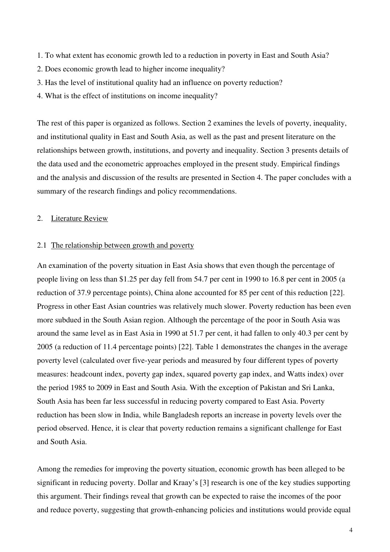- 1. To what extent has economic growth led to a reduction in poverty in East and South Asia?
- 2. Does economic growth lead to higher income inequality?
- 3. Has the level of institutional quality had an influence on poverty reduction?
- 4. What is the effect of institutions on income inequality?

The rest of this paper is organized as follows. Section 2 examines the levels of poverty, inequality, and institutional quality in East and South Asia, as well as the past and present literature on the relationships between growth, institutions, and poverty and inequality. Section 3 presents details of the data used and the econometric approaches employed in the present study. Empirical findings and the analysis and discussion of the results are presented in Section 4. The paper concludes with a summary of the research findings and policy recommendations.

#### 2. Literature Review

### 2.1 The relationship between growth and poverty

An examination of the poverty situation in East Asia shows that even though the percentage of people living on less than \$1.25 per day fell from 54.7 per cent in 1990 to 16.8 per cent in 2005 (a reduction of 37.9 percentage points), China alone accounted for 85 per cent of this reduction [22]. Progress in other East Asian countries was relatively much slower. Poverty reduction has been even more subdued in the South Asian region. Although the percentage of the poor in South Asia was around the same level as in East Asia in 1990 at 51.7 per cent, it had fallen to only 40.3 per cent by 2005 (a reduction of 11.4 percentage points) [22]. Table 1 demonstrates the changes in the average poverty level (calculated over five-year periods and measured by four different types of poverty measures: headcount index, poverty gap index, squared poverty gap index, and Watts index) over the period 1985 to 2009 in East and South Asia. With the exception of Pakistan and Sri Lanka, South Asia has been far less successful in reducing poverty compared to East Asia. Poverty reduction has been slow in India, while Bangladesh reports an increase in poverty levels over the period observed. Hence, it is clear that poverty reduction remains a significant challenge for East and South Asia.

Among the remedies for improving the poverty situation, economic growth has been alleged to be significant in reducing poverty. Dollar and Kraay's [3] research is one of the key studies supporting this argument. Their findings reveal that growth can be expected to raise the incomes of the poor and reduce poverty, suggesting that growth-enhancing policies and institutions would provide equal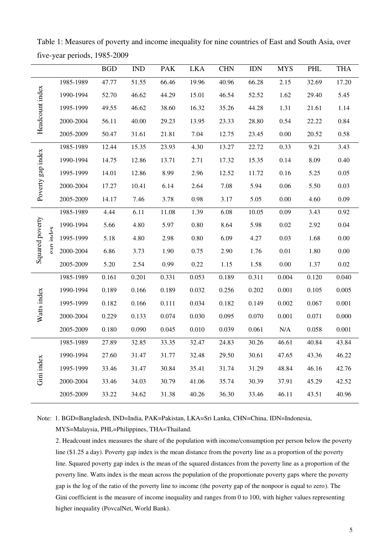|                              |           | <b>BGD</b> | <b>IND</b> | <b>PAK</b> | <b>LKA</b> | <b>CHN</b> | <b>IDN</b> | <b>MYS</b> | PHL   | <b>THA</b> |
|------------------------------|-----------|------------|------------|------------|------------|------------|------------|------------|-------|------------|
|                              | 1985-1989 | 47.77      | 51.55      | 66.46      | 19.96      | 40.96      | 66.28      | 2.15       | 32.69 | 17.20      |
| Headcount index              | 1990-1994 | 52.70      | 46.62      | 44.29      | 15.01      | 46.54      | 52.52      | 1.62       | 29.40 | 5.45       |
|                              | 1995-1999 | 49.55      | 46.62      | 38.60      | 16.32      | 35.26      | 44.28      | 1.31       | 21.61 | 1.14       |
|                              | 2000-2004 | 56.11      | 40.00      | 29.23      | 13.95      | 23.33      | 28.80      | 0.54       | 22.22 | 0.84       |
|                              | 2005-2009 | 50.47      | 31.61      | 21.81      | 7.04       | 12.75      | 23.45      | 0.00       | 20.52 | 0.58       |
|                              | 1985-1989 | 12.44      | 15.35      | 23.93      | 4.30       | 13.27      | 22.72      | 0.33       | 9.21  | 3.43       |
| Poverty gap index            | 1990-1994 | 14.75      | 12.86      | 13.71      | 2.71       | 17.32      | 15.35      | 0.14       | 8.09  | 0.40       |
|                              | 1995-1999 | 14.01      | 12.86      | 8.99       | 2.96       | 12.52      | 11.72      | $0.16\,$   | 5.25  | 0.05       |
|                              | 2000-2004 | 17.27      | 10.41      | 6.14       | 2.64       | 7.08       | 5.94       | $0.06\,$   | 5.50  | 0.03       |
|                              | 2005-2009 | 14.17      | 7.46       | 3.78       | 0.98       | 3.17       | 5.05       | $0.00\,$   | 4.60  | 0.09       |
|                              | 1985-1989 | 4.44       | 6.11       | 11.08      | 1.39       | 6.08       | 10.05      | 0.09       | 3.43  | 0.92       |
|                              | 1990-1994 | 5.66       | 4.80       | 5.97       | 0.80       | 8.64       | 5.98       | 0.02       | 2.92  | 0.04       |
| Squared poverty<br>pan index | 1995-1999 | 5.18       | 4.80       | 2.98       | $0.80\,$   | 6.09       | 4.27       | 0.03       | 1.68  | $0.00\,$   |
|                              | 2000-2004 | 6.86       | 3.73       | 1.90       | 0.75       | 2.90       | 1.76       | 0.01       | 1.80  | 0.00       |
|                              | 2005-2009 | 5.20       | 2.54       | 0.99       | 0.22       | 1.15       | 1.58       | 0.00       | 1.37  | $0.02\,$   |
|                              | 1985-1989 | 0.161      | 0.201      | 0.331      | 0.053      | 0.189      | 0.311      | 0.004      | 0.120 | 0.040      |
|                              | 1990-1994 | 0.189      | 0.166      | 0.189      | 0.032      | 0.256      | 0.202      | 0.001      | 0.105 | 0.005      |
| Watts index                  | 1995-1999 | 0.182      | 0.166      | 0.111      | 0.034      | 0.182      | 0.149      | 0.002      | 0.067 | 0.001      |
|                              | 2000-2004 | 0.229      | 0.133      | 0.074      | 0.030      | 0.095      | 0.070      | 0.001      | 0.071 | $0.000\,$  |
|                              | 2005-2009 | 0.180      | 0.090      | 0.045      | 0.010      | 0.039      | 0.061      | $\rm N/A$  | 0.058 | 0.001      |
|                              | 1985-1989 | 27.89      | 32.85      | 33.35      | 32.47      | 24.83      | 30.26      | 46.61      | 40.84 | 43.84      |
|                              | 1990-1994 | 27.60      | 31.47      | 31.77      | 32.48      | 29.50      | 30.61      | 47.65      | 43.36 | 46.22      |
| Gini index                   | 1995-1999 | 33.46      | 31.47      | 30.84      | 35.41      | 31.74      | 31.29      | 48.84      | 46.16 | 42.76      |
|                              | 2000-2004 | 33.46      | 34.03      | 30.79      | 41.06      | 35.74      | 30.39      | 37.91      | 45.29 | 42.52      |
|                              | 2005-2009 | 33.22      | 34.62      | 31.38      | 40.26      | 36.30      | 33.46      | 46.11      | 43.51 | 40.96      |

Table 1: Measures of poverty and income inequality for nine countries of East and South Asia, over five-year periods, 1985-2009

Note: 1. BGD=Bangladesh, IND=India, PAK=Pakistan, LKA=Sri Lanka, CHN=China, IDN=Indonesia,

MYS=Malaysia, PHL=Philippines, THA=Thailand.

2. Headcount index measures the share of the population with income/consumption per person below the poverty line (\$1.25 a day). Poverty gap index is the mean distance from the poverty line as a proportion of the poverty line. Squared poverty gap index is the mean of the squared distances from the poverty line as a proportion of the poverty line. Watts index is the mean across the population of the proportionate poverty gaps where the poverty gap is the log of the ratio of the poverty line to income (the poverty gap of the nonpoor is equal to zero). The Gini coefficient is the measure of income inequality and ranges from 0 to 100, with higher values representing higher inequality (PovcalNet, World Bank).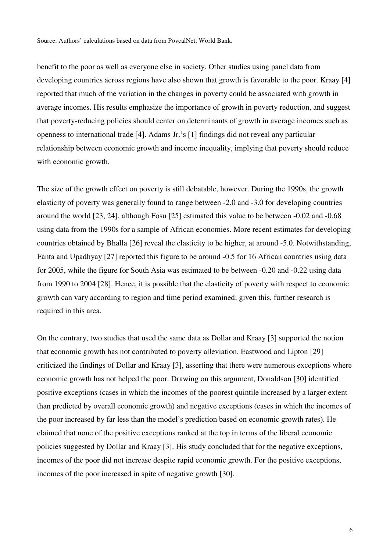Source: Authors' calculations based on data from PovcalNet, World Bank.

benefit to the poor as well as everyone else in society. Other studies using panel data from developing countries across regions have also shown that growth is favorable to the poor. Kraay [4] reported that much of the variation in the changes in poverty could be associated with growth in average incomes. His results emphasize the importance of growth in poverty reduction, and suggest that poverty-reducing policies should center on determinants of growth in average incomes such as openness to international trade [4]. Adams Jr.'s [1] findings did not reveal any particular relationship between economic growth and income inequality, implying that poverty should reduce with economic growth.

The size of the growth effect on poverty is still debatable, however. During the 1990s, the growth elasticity of poverty was generally found to range between -2.0 and -3.0 for developing countries around the world [23, 24], although Fosu [25] estimated this value to be between -0.02 and -0.68 using data from the 1990s for a sample of African economies. More recent estimates for developing countries obtained by Bhalla [26] reveal the elasticity to be higher, at around -5.0. Notwithstanding, Fanta and Upadhyay [27] reported this figure to be around -0.5 for 16 African countries using data for 2005, while the figure for South Asia was estimated to be between -0.20 and -0.22 using data from 1990 to 2004 [28]. Hence, it is possible that the elasticity of poverty with respect to economic growth can vary according to region and time period examined; given this, further research is required in this area.

On the contrary, two studies that used the same data as Dollar and Kraay [3] supported the notion that economic growth has not contributed to poverty alleviation. Eastwood and Lipton [29] criticized the findings of Dollar and Kraay [3], asserting that there were numerous exceptions where economic growth has not helped the poor. Drawing on this argument, Donaldson [30] identified positive exceptions (cases in which the incomes of the poorest quintile increased by a larger extent than predicted by overall economic growth) and negative exceptions (cases in which the incomes of the poor increased by far less than the model's prediction based on economic growth rates). He claimed that none of the positive exceptions ranked at the top in terms of the liberal economic policies suggested by Dollar and Kraay [3]. His study concluded that for the negative exceptions, incomes of the poor did not increase despite rapid economic growth. For the positive exceptions, incomes of the poor increased in spite of negative growth [30].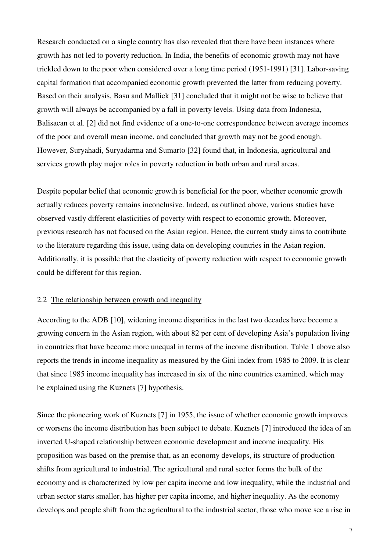Research conducted on a single country has also revealed that there have been instances where growth has not led to poverty reduction. In India, the benefits of economic growth may not have trickled down to the poor when considered over a long time period (1951-1991) [31]. Labor-saving capital formation that accompanied economic growth prevented the latter from reducing poverty. Based on their analysis, Basu and Mallick [31] concluded that it might not be wise to believe that growth will always be accompanied by a fall in poverty levels. Using data from Indonesia, Balisacan et al. [2] did not find evidence of a one-to-one correspondence between average incomes of the poor and overall mean income, and concluded that growth may not be good enough. However, Suryahadi, Suryadarma and Sumarto [32] found that, in Indonesia, agricultural and services growth play major roles in poverty reduction in both urban and rural areas.

Despite popular belief that economic growth is beneficial for the poor, whether economic growth actually reduces poverty remains inconclusive. Indeed, as outlined above, various studies have observed vastly different elasticities of poverty with respect to economic growth. Moreover, previous research has not focused on the Asian region. Hence, the current study aims to contribute to the literature regarding this issue, using data on developing countries in the Asian region. Additionally, it is possible that the elasticity of poverty reduction with respect to economic growth could be different for this region.

# 2.2 The relationship between growth and inequality

According to the ADB [10], widening income disparities in the last two decades have become a growing concern in the Asian region, with about 82 per cent of developing Asia's population living in countries that have become more unequal in terms of the income distribution. Table 1 above also reports the trends in income inequality as measured by the Gini index from 1985 to 2009. It is clear that since 1985 income inequality has increased in six of the nine countries examined, which may be explained using the Kuznets [7] hypothesis.

Since the pioneering work of Kuznets [7] in 1955, the issue of whether economic growth improves or worsens the income distribution has been subject to debate. Kuznets [7] introduced the idea of an inverted U-shaped relationship between economic development and income inequality. His proposition was based on the premise that, as an economy develops, its structure of production shifts from agricultural to industrial. The agricultural and rural sector forms the bulk of the economy and is characterized by low per capita income and low inequality, while the industrial and urban sector starts smaller, has higher per capita income, and higher inequality. As the economy develops and people shift from the agricultural to the industrial sector, those who move see a rise in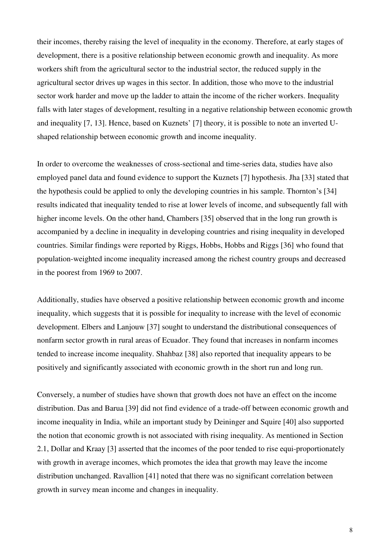their incomes, thereby raising the level of inequality in the economy. Therefore, at early stages of development, there is a positive relationship between economic growth and inequality. As more workers shift from the agricultural sector to the industrial sector, the reduced supply in the agricultural sector drives up wages in this sector. In addition, those who move to the industrial sector work harder and move up the ladder to attain the income of the richer workers. Inequality falls with later stages of development, resulting in a negative relationship between economic growth and inequality [7, 13]. Hence, based on Kuznets' [7] theory, it is possible to note an inverted Ushaped relationship between economic growth and income inequality.

In order to overcome the weaknesses of cross-sectional and time-series data, studies have also employed panel data and found evidence to support the Kuznets [7] hypothesis. Jha [33] stated that the hypothesis could be applied to only the developing countries in his sample. Thornton's [34] results indicated that inequality tended to rise at lower levels of income, and subsequently fall with higher income levels. On the other hand, Chambers [35] observed that in the long run growth is accompanied by a decline in inequality in developing countries and rising inequality in developed countries. Similar findings were reported by Riggs, Hobbs, Hobbs and Riggs [36] who found that population-weighted income inequality increased among the richest country groups and decreased in the poorest from 1969 to 2007.

Additionally, studies have observed a positive relationship between economic growth and income inequality, which suggests that it is possible for inequality to increase with the level of economic development. Elbers and Lanjouw [37] sought to understand the distributional consequences of nonfarm sector growth in rural areas of Ecuador. They found that increases in nonfarm incomes tended to increase income inequality. Shahbaz [38] also reported that inequality appears to be positively and significantly associated with economic growth in the short run and long run.

Conversely, a number of studies have shown that growth does not have an effect on the income distribution. Das and Barua [39] did not find evidence of a trade-off between economic growth and income inequality in India, while an important study by Deininger and Squire [40] also supported the notion that economic growth is not associated with rising inequality. As mentioned in Section 2.1, Dollar and Kraay [3] asserted that the incomes of the poor tended to rise equi-proportionately with growth in average incomes, which promotes the idea that growth may leave the income distribution unchanged. Ravallion [41] noted that there was no significant correlation between growth in survey mean income and changes in inequality.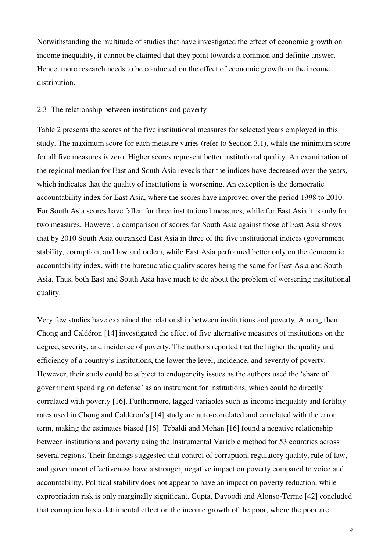Notwithstanding the multitude of studies that have investigated the effect of economic growth on income inequality, it cannot be claimed that they point towards a common and definite answer. Hence, more research needs to be conducted on the effect of economic growth on the income distribution.

### 2.3 The relationship between institutions and poverty

Table 2 presents the scores of the five institutional measures for selected years employed in this study. The maximum score for each measure varies (refer to Section 3.1), while the minimum score for all five measures is zero. Higher scores represent better institutional quality. An examination of the regional median for East and South Asia reveals that the indices have decreased over the years, which indicates that the quality of institutions is worsening. An exception is the democratic accountability index for East Asia, where the scores have improved over the period 1998 to 2010. For South Asia scores have fallen for three institutional measures, while for East Asia it is only for two measures. However, a comparison of scores for South Asia against those of East Asia shows that by 2010 South Asia outranked East Asia in three of the five institutional indices (government stability, corruption, and law and order), while East Asia performed better only on the democratic accountability index, with the bureaucratic quality scores being the same for East Asia and South Asia. Thus, both East and South Asia have much to do about the problem of worsening institutional quality.

Very few studies have examined the relationship between institutions and poverty. Among them, Chong and Caldéron [14] investigated the effect of five alternative measures of institutions on the degree, severity, and incidence of poverty. The authors reported that the higher the quality and efficiency of a country's institutions, the lower the level, incidence, and severity of poverty. However, their study could be subject to endogeneity issues as the authors used the 'share of government spending on defense' as an instrument for institutions, which could be directly correlated with poverty [16]. Furthermore, lagged variables such as income inequality and fertility rates used in Chong and Caldéron's [14] study are auto-correlated and correlated with the error term, making the estimates biased [16]. Tebaldi and Mohan [16] found a negative relationship between institutions and poverty using the Instrumental Variable method for 53 countries across several regions. Their findings suggested that control of corruption, regulatory quality, rule of law, and government effectiveness have a stronger, negative impact on poverty compared to voice and accountability. Political stability does not appear to have an impact on poverty reduction, while expropriation risk is only marginally significant. Gupta, Davoodi and Alonso-Terme [42] concluded that corruption has a detrimental effect on the income growth of the poor, where the poor are

9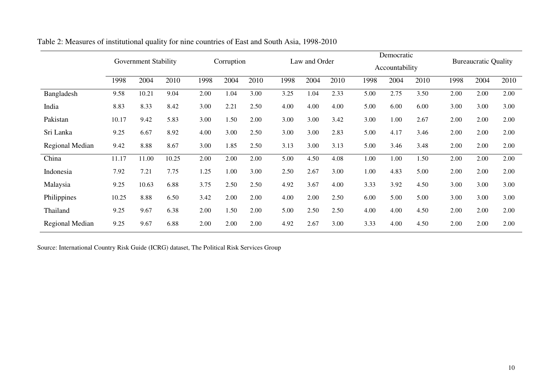|                 | Government Stability |       | Corruption |      | Law and Order |      | Democratic<br>Accountability |      |      | <b>Bureaucratic Quality</b> |      |      |      |      |      |
|-----------------|----------------------|-------|------------|------|---------------|------|------------------------------|------|------|-----------------------------|------|------|------|------|------|
|                 | 1998                 | 2004  | 2010       | 1998 | 2004          | 2010 | 1998                         | 2004 | 2010 | 1998                        | 2004 | 2010 | 1998 | 2004 | 2010 |
| Bangladesh      | 9.58                 | 10.21 | 9.04       | 2.00 | 1.04          | 3.00 | 3.25                         | 1.04 | 2.33 | 5.00                        | 2.75 | 3.50 | 2.00 | 2.00 | 2.00 |
| India           | 8.83                 | 8.33  | 8.42       | 3.00 | 2.21          | 2.50 | 4.00                         | 4.00 | 4.00 | 5.00                        | 6.00 | 6.00 | 3.00 | 3.00 | 3.00 |
| Pakistan        | 10.17                | 9.42  | 5.83       | 3.00 | 1.50          | 2.00 | 3.00                         | 3.00 | 3.42 | 3.00                        | 1.00 | 2.67 | 2.00 | 2.00 | 2.00 |
| Sri Lanka       | 9.25                 | 6.67  | 8.92       | 4.00 | 3.00          | 2.50 | 3.00                         | 3.00 | 2.83 | 5.00                        | 4.17 | 3.46 | 2.00 | 2.00 | 2.00 |
| Regional Median | 9.42                 | 8.88  | 8.67       | 3.00 | 1.85          | 2.50 | 3.13                         | 3.00 | 3.13 | 5.00                        | 3.46 | 3.48 | 2.00 | 2.00 | 2.00 |
| China           | 11.17                | 11.00 | 10.25      | 2.00 | 2.00          | 2.00 | 5.00                         | 4.50 | 4.08 | 1.00                        | 1.00 | 1.50 | 2.00 | 2.00 | 2.00 |
| Indonesia       | 7.92                 | 7.21  | 7.75       | 1.25 | 1.00          | 3.00 | 2.50                         | 2.67 | 3.00 | 1.00                        | 4.83 | 5.00 | 2.00 | 2.00 | 2.00 |
| Malaysia        | 9.25                 | 10.63 | 6.88       | 3.75 | 2.50          | 2.50 | 4.92                         | 3.67 | 4.00 | 3.33                        | 3.92 | 4.50 | 3.00 | 3.00 | 3.00 |
| Philippines     | 10.25                | 8.88  | 6.50       | 3.42 | 2.00          | 2.00 | 4.00                         | 2.00 | 2.50 | 6.00                        | 5.00 | 5.00 | 3.00 | 3.00 | 3.00 |
| Thailand        | 9.25                 | 9.67  | 6.38       | 2.00 | 1.50          | 2.00 | 5.00                         | 2.50 | 2.50 | 4.00                        | 4.00 | 4.50 | 2.00 | 2.00 | 2.00 |
| Regional Median | 9.25                 | 9.67  | 6.88       | 2.00 | 2.00          | 2.00 | 4.92                         | 2.67 | 3.00 | 3.33                        | 4.00 | 4.50 | 2.00 | 2.00 | 2.00 |

Table 2: Measures of institutional quality for nine countries of East and South Asia, 1998-2010

Source: International Country Risk Guide (ICRG) dataset, The Political Risk Services Group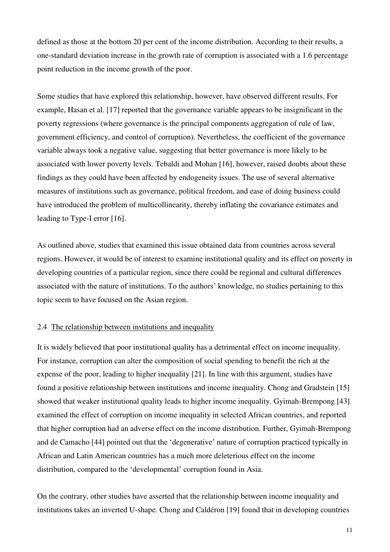defined as those at the bottom 20 per cent of the income distribution. According to their results, a one-standard deviation increase in the growth rate of corruption is associated with a 1.6 percentage point reduction in the income growth of the poor.

Some studies that have explored this relationship, however, have observed different results. For example, Hasan et al. [17] reported that the governance variable appears to be insignificant in the poverty regressions (where governance is the principal components aggregation of rule of law, government efficiency, and control of corruption). Nevertheless, the coefficient of the governance variable always took a negative value, suggesting that better governance is more likely to be associated with lower poverty levels. Tebaldi and Mohan [16], however, raised doubts about these findings as they could have been affected by endogeneity issues. The use of several alternative measures of institutions such as governance, political freedom, and ease of doing business could have introduced the problem of multicollinearity, thereby inflating the covariance estimates and leading to Type-I error [16].

As outlined above, studies that examined this issue obtained data from countries across several regions. However, it would be of interest to examine institutional quality and its effect on poverty in developing countries of a particular region, since there could be regional and cultural differences associated with the nature of institutions. To the authors' knowledge, no studies pertaining to this topic seem to have focused on the Asian region.

# 2.4 The relationship between institutions and inequality

It is widely believed that poor institutional quality has a detrimental effect on income inequality. For instance, corruption can alter the composition of social spending to benefit the rich at the expense of the poor, leading to higher inequality [21]. In line with this argument, studies have found a positive relationship between institutions and income inequality. Chong and Gradstein [15] showed that weaker institutional quality leads to higher income inequality. Gyimah-Brempong [43] examined the effect of corruption on income inequality in selected African countries, and reported that higher corruption had an adverse effect on the income distribution. Further, Gyimah-Brempong and de Camacho [44] pointed out that the 'degenerative' nature of corruption practiced typically in African and Latin American countries has a much more deleterious effect on the income distribution, compared to the 'developmental' corruption found in Asia.

On the contrary, other studies have asserted that the relationship between income inequality and institutions takes an inverted U-shape. Chong and Caldéron [19] found that in developing countries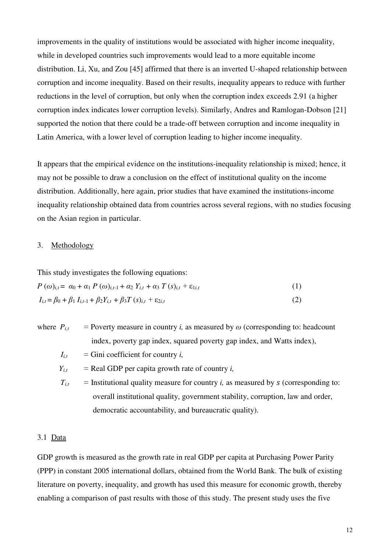improvements in the quality of institutions would be associated with higher income inequality, while in developed countries such improvements would lead to a more equitable income distribution. Li, Xu, and Zou [45] affirmed that there is an inverted U-shaped relationship between corruption and income inequality. Based on their results, inequality appears to reduce with further reductions in the level of corruption, but only when the corruption index exceeds 2.91 (a higher corruption index indicates lower corruption levels). Similarly, Andres and Ramlogan-Dobson [21] supported the notion that there could be a trade-off between corruption and income inequality in Latin America, with a lower level of corruption leading to higher income inequality.

It appears that the empirical evidence on the institutions-inequality relationship is mixed; hence, it may not be possible to draw a conclusion on the effect of institutional quality on the income distribution. Additionally, here again, prior studies that have examined the institutions-income inequality relationship obtained data from countries across several regions, with no studies focusing on the Asian region in particular.

#### 3. Methodology

This study investigates the following equations:

$$
P(\omega)_{i,t} = \alpha_0 + \alpha_1 P(\omega)_{i,t-1} + \alpha_2 Y_{i,t} + \alpha_3 T(s)_{i,t} + \varepsilon_{1i,t}
$$
  
\n
$$
I_{i,t} = \beta_0 + \beta_1 I_{i,t-1} + \beta_2 Y_{i,t} + \beta_3 T(s)_{i,t} + \varepsilon_{2i,t}
$$
\n(2)

| where $P_{i,t}$ | = Poverty measure in country <i>i</i> , as measured by $\omega$ (corresponding to: headcount |
|-----------------|----------------------------------------------------------------------------------------------|
|                 | index, poverty gap index, squared poverty gap index, and Watts index),                       |

- $I_{i,t}$  = Gini coefficient for country *i*,
- $Y_{i,t}$  = Real GDP per capita growth rate of country *i*,
- $T_{it}$  = Institutional quality measure for country *i*, as measured by *s* (corresponding to: overall institutional quality, government stability, corruption, law and order, democratic accountability, and bureaucratic quality).

#### 3.1 Data

GDP growth is measured as the growth rate in real GDP per capita at Purchasing Power Parity (PPP) in constant 2005 international dollars, obtained from the World Bank. The bulk of existing literature on poverty, inequality, and growth has used this measure for economic growth, thereby enabling a comparison of past results with those of this study. The present study uses the five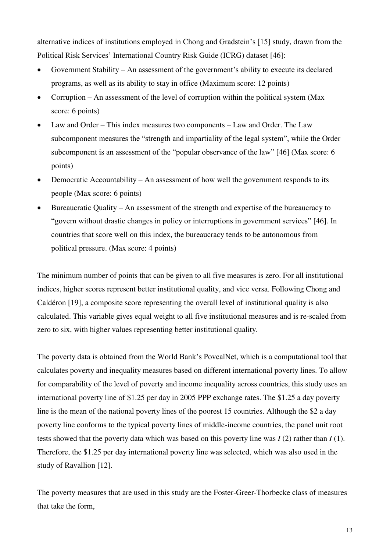alternative indices of institutions employed in Chong and Gradstein's [15] study, drawn from the Political Risk Services' International Country Risk Guide (ICRG) dataset [46]:

- Government Stability An assessment of the government's ability to execute its declared programs, as well as its ability to stay in office (Maximum score: 12 points)
- Corruption An assessment of the level of corruption within the political system (Max score: 6 points)
- Law and Order This index measures two components Law and Order. The Law subcomponent measures the "strength and impartiality of the legal system", while the Order subcomponent is an assessment of the "popular observance of the law" [46] (Max score: 6 points)
- Democratic Accountability An assessment of how well the government responds to its people (Max score: 6 points)
- Bureaucratic Quality An assessment of the strength and expertise of the bureaucracy to "govern without drastic changes in policy or interruptions in government services" [46]. In countries that score well on this index, the bureaucracy tends to be autonomous from political pressure. (Max score: 4 points)

The minimum number of points that can be given to all five measures is zero. For all institutional indices, higher scores represent better institutional quality, and vice versa. Following Chong and Caldéron [19], a composite score representing the overall level of institutional quality is also calculated. This variable gives equal weight to all five institutional measures and is re-scaled from zero to six, with higher values representing better institutional quality.

The poverty data is obtained from the World Bank's PovcalNet, which is a computational tool that calculates poverty and inequality measures based on different international poverty lines. To allow for comparability of the level of poverty and income inequality across countries, this study uses an international poverty line of \$1.25 per day in 2005 PPP exchange rates. The \$1.25 a day poverty line is the mean of the national poverty lines of the poorest 15 countries. Although the \$2 a day poverty line conforms to the typical poverty lines of middle-income countries, the panel unit root tests showed that the poverty data which was based on this poverty line was *I* (2) rather than *I* (1). Therefore, the \$1.25 per day international poverty line was selected, which was also used in the study of Ravallion [12].

The poverty measures that are used in this study are the Foster-Greer-Thorbecke class of measures that take the form,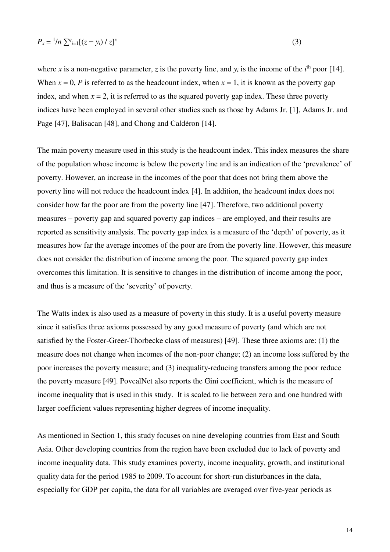$$
P_x = \frac{1}{n} \sum_{i=1}^{n} [(z - y_i) / z]^x
$$
 (3)

where *x* is a non-negative parameter, *z* is the poverty line, and  $y_i$  is the income of the  $i^{\text{th}}$  poor [14]. When  $x = 0$ , *P* is referred to as the headcount index, when  $x = 1$ , it is known as the poverty gap index, and when  $x = 2$ , it is referred to as the squared poverty gap index. These three poverty indices have been employed in several other studies such as those by Adams Jr. [1], Adams Jr. and Page [47], Balisacan [48], and Chong and Caldéron [14].

The main poverty measure used in this study is the headcount index. This index measures the share of the population whose income is below the poverty line and is an indication of the 'prevalence' of poverty. However, an increase in the incomes of the poor that does not bring them above the poverty line will not reduce the headcount index [4]. In addition, the headcount index does not consider how far the poor are from the poverty line [47]. Therefore, two additional poverty measures – poverty gap and squared poverty gap indices – are employed, and their results are reported as sensitivity analysis. The poverty gap index is a measure of the 'depth' of poverty, as it measures how far the average incomes of the poor are from the poverty line. However, this measure does not consider the distribution of income among the poor. The squared poverty gap index overcomes this limitation. It is sensitive to changes in the distribution of income among the poor, and thus is a measure of the 'severity' of poverty.

The Watts index is also used as a measure of poverty in this study. It is a useful poverty measure since it satisfies three axioms possessed by any good measure of poverty (and which are not satisfied by the Foster-Greer-Thorbecke class of measures) [49]. These three axioms are: (1) the measure does not change when incomes of the non-poor change; (2) an income loss suffered by the poor increases the poverty measure; and (3) inequality-reducing transfers among the poor reduce the poverty measure [49]. PovcalNet also reports the Gini coefficient, which is the measure of income inequality that is used in this study. It is scaled to lie between zero and one hundred with larger coefficient values representing higher degrees of income inequality.

As mentioned in Section 1, this study focuses on nine developing countries from East and South Asia. Other developing countries from the region have been excluded due to lack of poverty and income inequality data. This study examines poverty, income inequality, growth, and institutional quality data for the period 1985 to 2009. To account for short-run disturbances in the data, especially for GDP per capita, the data for all variables are averaged over five-year periods as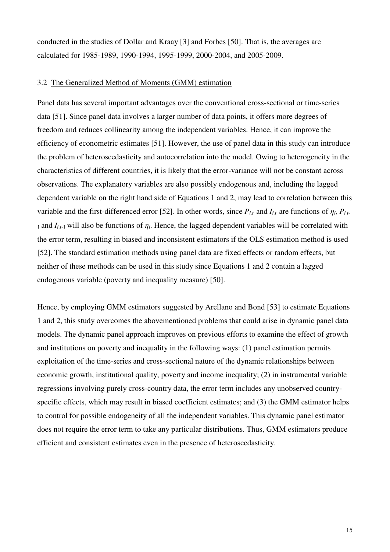conducted in the studies of Dollar and Kraay [3] and Forbes [50]. That is, the averages are calculated for 1985-1989, 1990-1994, 1995-1999, 2000-2004, and 2005-2009.

# 3.2 The Generalized Method of Moments (GMM) estimation

Panel data has several important advantages over the conventional cross-sectional or time-series data [51]. Since panel data involves a larger number of data points, it offers more degrees of freedom and reduces collinearity among the independent variables. Hence, it can improve the efficiency of econometric estimates [51]. However, the use of panel data in this study can introduce the problem of heteroscedasticity and autocorrelation into the model. Owing to heterogeneity in the characteristics of different countries, it is likely that the error-variance will not be constant across observations. The explanatory variables are also possibly endogenous and, including the lagged dependent variable on the right hand side of Equations 1 and 2, may lead to correlation between this variable and the first-differenced error [52]. In other words, since  $P_{i,t}$  and  $I_{i,t}$  are functions of  $\eta_i$ ,  $P_{i,t}$ -1 and  $I_{i,t-1}$  will also be functions of  $\eta_i$ . Hence, the lagged dependent variables will be correlated with the error term, resulting in biased and inconsistent estimators if the OLS estimation method is used [52]. The standard estimation methods using panel data are fixed effects or random effects, but neither of these methods can be used in this study since Equations 1 and 2 contain a lagged endogenous variable (poverty and inequality measure) [50].

Hence, by employing GMM estimators suggested by Arellano and Bond [53] to estimate Equations 1 and 2, this study overcomes the abovementioned problems that could arise in dynamic panel data models. The dynamic panel approach improves on previous efforts to examine the effect of growth and institutions on poverty and inequality in the following ways: (1) panel estimation permits exploitation of the time-series and cross-sectional nature of the dynamic relationships between economic growth, institutional quality, poverty and income inequality; (2) in instrumental variable regressions involving purely cross-country data, the error term includes any unobserved countryspecific effects, which may result in biased coefficient estimates; and (3) the GMM estimator helps to control for possible endogeneity of all the independent variables. This dynamic panel estimator does not require the error term to take any particular distributions. Thus, GMM estimators produce efficient and consistent estimates even in the presence of heteroscedasticity.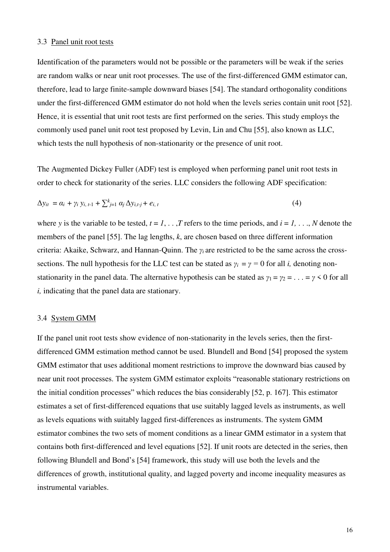#### 3.3 Panel unit root tests

Identification of the parameters would not be possible or the parameters will be weak if the series are random walks or near unit root processes. The use of the first-differenced GMM estimator can, therefore, lead to large finite-sample downward biases [54]. The standard orthogonality conditions under the first-differenced GMM estimator do not hold when the levels series contain unit root [52]. Hence, it is essential that unit root tests are first performed on the series. This study employs the commonly used panel unit root test proposed by Levin, Lin and Chu [55], also known as LLC, which tests the null hypothesis of non-stationarity or the presence of unit root.

The Augmented Dickey Fuller (ADF) test is employed when performing panel unit root tests in order to check for stationarity of the series. LLC considers the following ADF specification:

$$
\Delta y_{it} = \alpha_i + \gamma_i y_{i, t-1} + \sum_{j=1}^k \alpha_j \Delta y_{i, t-j} + e_{i, t}
$$
\n
$$
\tag{4}
$$

where *y* is the variable to be tested,  $t = 1, \ldots, T$  refers to the time periods, and  $i = 1, \ldots, N$  denote the members of the panel [55]. The lag lengths, *k*, are chosen based on three different information criteria: Akaike, Schwarz, and Hannan-Quinn. The *γi* are restricted to be the same across the crosssections. The null hypothesis for the LLC test can be stated as  $\gamma_i = \gamma = 0$  for all *i*, denoting nonstationarity in the panel data. The alternative hypothesis can be stated as  $\gamma_1 = \gamma_2 = \ldots = \gamma \leq 0$  for all *i,* indicating that the panel data are stationary.

#### 3.4 System GMM

If the panel unit root tests show evidence of non-stationarity in the levels series, then the firstdifferenced GMM estimation method cannot be used. Blundell and Bond [54] proposed the system GMM estimator that uses additional moment restrictions to improve the downward bias caused by near unit root processes. The system GMM estimator exploits "reasonable stationary restrictions on the initial condition processes" which reduces the bias considerably [52, p. 167]. This estimator estimates a set of first-differenced equations that use suitably lagged levels as instruments, as well as levels equations with suitably lagged first-differences as instruments. The system GMM estimator combines the two sets of moment conditions as a linear GMM estimator in a system that contains both first-differenced and level equations [52]. If unit roots are detected in the series, then following Blundell and Bond's [54] framework, this study will use both the levels and the differences of growth, institutional quality, and lagged poverty and income inequality measures as instrumental variables.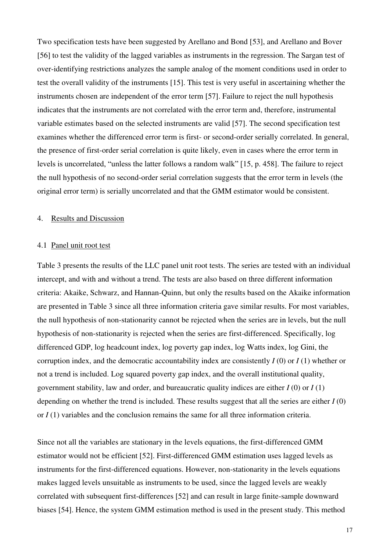Two specification tests have been suggested by Arellano and Bond [53], and Arellano and Bover [56] to test the validity of the lagged variables as instruments in the regression. The Sargan test of over-identifying restrictions analyzes the sample analog of the moment conditions used in order to test the overall validity of the instruments [15]. This test is very useful in ascertaining whether the instruments chosen are independent of the error term [57]. Failure to reject the null hypothesis indicates that the instruments are not correlated with the error term and, therefore, instrumental variable estimates based on the selected instruments are valid [57]. The second specification test examines whether the differenced error term is first- or second-order serially correlated. In general, the presence of first-order serial correlation is quite likely, even in cases where the error term in levels is uncorrelated, "unless the latter follows a random walk" [15, p. 458]. The failure to reject the null hypothesis of no second-order serial correlation suggests that the error term in levels (the original error term) is serially uncorrelated and that the GMM estimator would be consistent.

#### 4. Results and Discussion

#### 4.1 Panel unit root test

Table 3 presents the results of the LLC panel unit root tests. The series are tested with an individual intercept, and with and without a trend. The tests are also based on three different information criteria: Akaike, Schwarz, and Hannan-Quinn, but only the results based on the Akaike information are presented in Table 3 since all three information criteria gave similar results. For most variables, the null hypothesis of non-stationarity cannot be rejected when the series are in levels, but the null hypothesis of non-stationarity is rejected when the series are first-differenced. Specifically, log differenced GDP, log headcount index, log poverty gap index, log Watts index, log Gini, the corruption index, and the democratic accountability index are consistently *I* (0) or *I* (1) whether or not a trend is included. Log squared poverty gap index, and the overall institutional quality, government stability, law and order, and bureaucratic quality indices are either *I* (0) or *I* (1) depending on whether the trend is included. These results suggest that all the series are either *I* (0) or *I* (1) variables and the conclusion remains the same for all three information criteria.

Since not all the variables are stationary in the levels equations, the first-differenced GMM estimator would not be efficient [52]. First-differenced GMM estimation uses lagged levels as instruments for the first-differenced equations. However, non-stationarity in the levels equations makes lagged levels unsuitable as instruments to be used, since the lagged levels are weakly correlated with subsequent first-differences [52] and can result in large finite-sample downward biases [54]. Hence, the system GMM estimation method is used in the present study. This method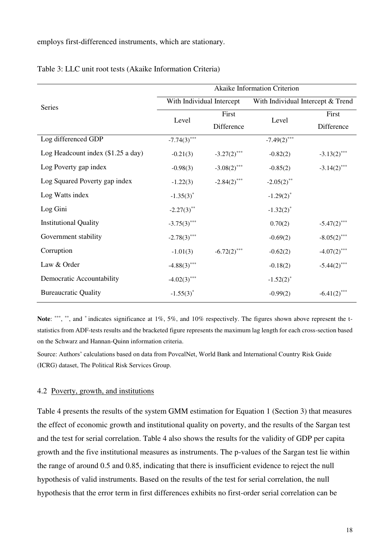employs first-differenced instruments, which are stationary.

|                                    | Akaike Information Criterion |                |                                   |                |  |  |  |
|------------------------------------|------------------------------|----------------|-----------------------------------|----------------|--|--|--|
| Series                             | With Individual Intercept    |                | With Individual Intercept & Trend |                |  |  |  |
|                                    | Level                        | First          | Level                             | First          |  |  |  |
|                                    |                              | Difference     |                                   | Difference     |  |  |  |
| Log differenced GDP                | $-7.74(3)$ ***               |                | $-7.49(2)$ ***                    |                |  |  |  |
| Log Headcount index (\$1.25 a day) | $-0.21(3)$                   | $-3.27(2)$ *** | $-0.82(2)$                        | $-3.13(2)$ *** |  |  |  |
| Log Poverty gap index              | $-0.98(3)$                   | $-3.08(2)$ *** | $-0.85(2)$                        | $-3.14(2)$ *** |  |  |  |
| Log Squared Poverty gap index      | $-1.22(3)$                   | $-2.84(2)$ *** | $-2.05(2)$ **                     |                |  |  |  |
| Log Watts index                    | $-1.35(3)^{*}$               |                | $-1.29(2)^*$                      |                |  |  |  |
| Log Gini                           | $-2.27(3)$ **                |                | $-1.32(2)^*$                      |                |  |  |  |
| <b>Institutional Quality</b>       | $-3.75(3)$ ***               |                | 0.70(2)                           | $-5.47(2)$ *** |  |  |  |
| Government stability               | $-2.78(3)$ ***               |                | $-0.69(2)$                        | $-8.05(2)$ *** |  |  |  |
| Corruption                         | $-1.01(3)$                   | $-6.72(2)$ *** | $-0.62(2)$                        | $-4.07(2)$ *** |  |  |  |
| Law & Order                        | $-4.88(3)$ ***               |                | $-0.18(2)$                        | $-5.44(2)$ *** |  |  |  |
| Democratic Accountability          | $-4.02(3)$ ***               |                | $-1.52(2)^*$                      |                |  |  |  |
| <b>Bureaucratic Quality</b>        | $-1.55(3)^*$                 |                | $-0.99(2)$                        | $-6.41(2)$ *** |  |  |  |

Table 3: LLC unit root tests (Akaike Information Criteria)

Note: \*\*\*, \*\*, and \* indicates significance at 1%, 5%, and 10% respectively. The figures shown above represent the tstatistics from ADF-tests results and the bracketed figure represents the maximum lag length for each cross-section based on the Schwarz and Hannan-Quinn information criteria.

Source: Authors' calculations based on data from PovcalNet, World Bank and International Country Risk Guide (ICRG) dataset, The Political Risk Services Group.

# 4.2 Poverty, growth, and institutions

Table 4 presents the results of the system GMM estimation for Equation 1 (Section 3) that measures the effect of economic growth and institutional quality on poverty, and the results of the Sargan test and the test for serial correlation. Table 4 also shows the results for the validity of GDP per capita growth and the five institutional measures as instruments. The p-values of the Sargan test lie within the range of around 0.5 and 0.85, indicating that there is insufficient evidence to reject the null hypothesis of valid instruments. Based on the results of the test for serial correlation, the null hypothesis that the error term in first differences exhibits no first-order serial correlation can be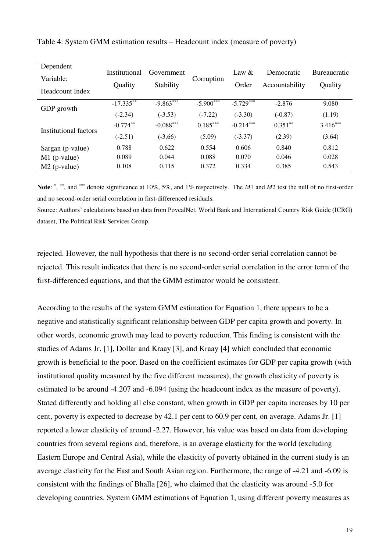| Dependent<br>Variable: | Institutional | Government  | Corruption  | Law $\&$    | Democratic     | <b>Bureaucratic</b> |  |
|------------------------|---------------|-------------|-------------|-------------|----------------|---------------------|--|
| Headcount Index        | Quality       | Stability   |             | Order       | Accountability | Quality             |  |
| GDP growth             | $-17.335***$  | $-9.863***$ | $-5.900***$ | $-5.729***$ | $-2.876$       | 9.080               |  |
|                        | $(-2.34)$     | $(-3.53)$   | $(-7.22)$   | $(-3.30)$   | $(-0.87)$      | (1.19)              |  |
| Institutional factors  | $-0.774**$    | $-0.088***$ | $0.185***$  | $-0.214***$ | $0.351***$     | $3.416***$          |  |
|                        | $(-2.51)$     | $(-3.66)$   | (5.09)      | $(-3.37)$   | (2.39)         | (3.64)              |  |
| Sargan (p-value)       | 0.788         | 0.622       | 0.554       | 0.606       | 0.840          | 0.812               |  |
| $M1$ (p-value)         | 0.089         | 0.044       | 0.088       | 0.070       | 0.046          | 0.028               |  |
| $M2$ (p-value)         | 0.108         | 0.115       | 0.372       | 0.334       | 0.385          | 0.543               |  |

Table 4: System GMM estimation results – Headcount index (measure of poverty)

Note: \*, \*\*, and \*\*\* denote significance at 10%, 5%, and 1% respectively. The *M*1 and *M2* test the null of no first-order and no second-order serial correlation in first-differenced residuals.

Source: Authors' calculations based on data from PovcalNet, World Bank and International Country Risk Guide (ICRG) dataset, The Political Risk Services Group.

rejected. However, the null hypothesis that there is no second-order serial correlation cannot be rejected. This result indicates that there is no second-order serial correlation in the error term of the first-differenced equations, and that the GMM estimator would be consistent.

According to the results of the system GMM estimation for Equation 1, there appears to be a negative and statistically significant relationship between GDP per capita growth and poverty. In other words, economic growth may lead to poverty reduction. This finding is consistent with the studies of Adams Jr. [1], Dollar and Kraay [3], and Kraay [4] which concluded that economic growth is beneficial to the poor. Based on the coefficient estimates for GDP per capita growth (with institutional quality measured by the five different measures), the growth elasticity of poverty is estimated to be around -4.207 and -6.094 (using the headcount index as the measure of poverty). Stated differently and holding all else constant, when growth in GDP per capita increases by 10 per cent, poverty is expected to decrease by 42.1 per cent to 60.9 per cent, on average. Adams Jr. [1] reported a lower elasticity of around -2.27. However, his value was based on data from developing countries from several regions and, therefore, is an average elasticity for the world (excluding Eastern Europe and Central Asia), while the elasticity of poverty obtained in the current study is an average elasticity for the East and South Asian region. Furthermore, the range of -4.21 and -6.09 is consistent with the findings of Bhalla [26], who claimed that the elasticity was around -5.0 for developing countries. System GMM estimations of Equation 1, using different poverty measures as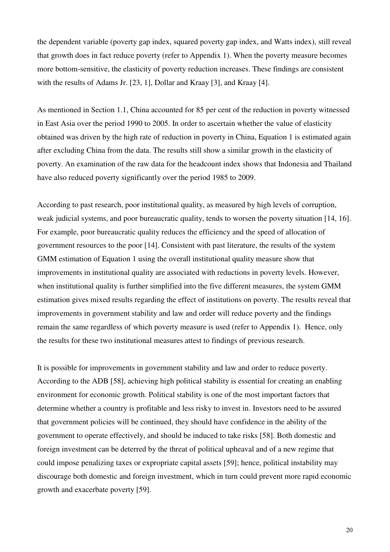the dependent variable (poverty gap index, squared poverty gap index, and Watts index), still reveal that growth does in fact reduce poverty (refer to Appendix 1). When the poverty measure becomes more bottom-sensitive, the elasticity of poverty reduction increases. These findings are consistent with the results of Adams Jr. [23, 1], Dollar and Kraay [3], and Kraay [4].

As mentioned in Section 1.1, China accounted for 85 per cent of the reduction in poverty witnessed in East Asia over the period 1990 to 2005. In order to ascertain whether the value of elasticity obtained was driven by the high rate of reduction in poverty in China, Equation 1 is estimated again after excluding China from the data. The results still show a similar growth in the elasticity of poverty. An examination of the raw data for the headcount index shows that Indonesia and Thailand have also reduced poverty significantly over the period 1985 to 2009.

According to past research, poor institutional quality, as measured by high levels of corruption, weak judicial systems, and poor bureaucratic quality, tends to worsen the poverty situation [14, 16]. For example, poor bureaucratic quality reduces the efficiency and the speed of allocation of government resources to the poor [14]. Consistent with past literature, the results of the system GMM estimation of Equation 1 using the overall institutional quality measure show that improvements in institutional quality are associated with reductions in poverty levels. However, when institutional quality is further simplified into the five different measures, the system GMM estimation gives mixed results regarding the effect of institutions on poverty. The results reveal that improvements in government stability and law and order will reduce poverty and the findings remain the same regardless of which poverty measure is used (refer to Appendix 1). Hence, only the results for these two institutional measures attest to findings of previous research.

It is possible for improvements in government stability and law and order to reduce poverty. According to the ADB [58], achieving high political stability is essential for creating an enabling environment for economic growth. Political stability is one of the most important factors that determine whether a country is profitable and less risky to invest in. Investors need to be assured that government policies will be continued, they should have confidence in the ability of the government to operate effectively, and should be induced to take risks [58]. Both domestic and foreign investment can be deterred by the threat of political upheaval and of a new regime that could impose penalizing taxes or expropriate capital assets [59]; hence, political instability may discourage both domestic and foreign investment, which in turn could prevent more rapid economic growth and exacerbate poverty [59].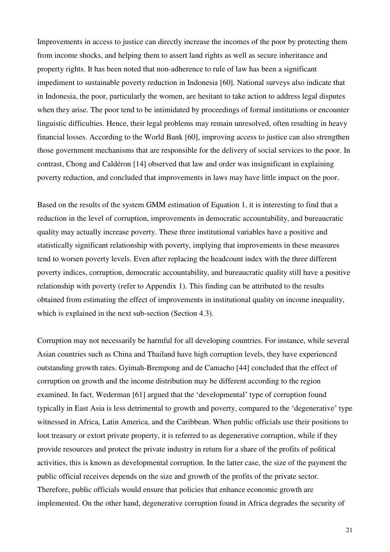Improvements in access to justice can directly increase the incomes of the poor by protecting them from income shocks, and helping them to assert land rights as well as secure inheritance and property rights. It has been noted that non-adherence to rule of law has been a significant impediment to sustainable poverty reduction in Indonesia [60]. National surveys also indicate that in Indonesia, the poor, particularly the women, are hesitant to take action to address legal disputes when they arise. The poor tend to be intimidated by proceedings of formal institutions or encounter linguistic difficulties. Hence, their legal problems may remain unresolved, often resulting in heavy financial losses. According to the World Bank [60], improving access to justice can also strengthen those government mechanisms that are responsible for the delivery of social services to the poor. In contrast, Chong and Caldéron [14] observed that law and order was insignificant in explaining poverty reduction, and concluded that improvements in laws may have little impact on the poor.

Based on the results of the system GMM estimation of Equation 1, it is interesting to find that a reduction in the level of corruption, improvements in democratic accountability, and bureaucratic quality may actually increase poverty. These three institutional variables have a positive and statistically significant relationship with poverty, implying that improvements in these measures tend to worsen poverty levels. Even after replacing the headcount index with the three different poverty indices, corruption, democratic accountability, and bureaucratic quality still have a positive relationship with poverty (refer to Appendix 1). This finding can be attributed to the results obtained from estimating the effect of improvements in institutional quality on income inequality, which is explained in the next sub-section (Section 4.3).

Corruption may not necessarily be harmful for all developing countries. For instance, while several Asian countries such as China and Thailand have high corruption levels, they have experienced outstanding growth rates. Gyimah-Brempong and de Camacho [44] concluded that the effect of corruption on growth and the income distribution may be different according to the region examined. In fact, Wederman [61] argued that the 'developmental' type of corruption found typically in East Asia is less detrimental to growth and poverty, compared to the 'degenerative' type witnessed in Africa, Latin America, and the Caribbean. When public officials use their positions to loot treasury or extort private property, it is referred to as degenerative corruption, while if they provide resources and protect the private industry in return for a share of the profits of political activities, this is known as developmental corruption. In the latter case, the size of the payment the public official receives depends on the size and growth of the profits of the private sector. Therefore, public officials would ensure that policies that enhance economic growth are implemented. On the other hand, degenerative corruption found in Africa degrades the security of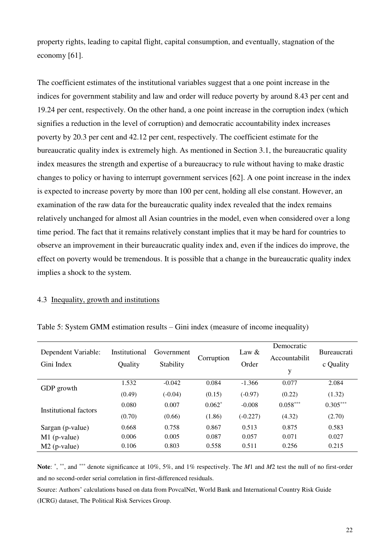property rights, leading to capital flight, capital consumption, and eventually, stagnation of the economy [61].

The coefficient estimates of the institutional variables suggest that a one point increase in the indices for government stability and law and order will reduce poverty by around 8.43 per cent and 19.24 per cent, respectively. On the other hand, a one point increase in the corruption index (which signifies a reduction in the level of corruption) and democratic accountability index increases poverty by 20.3 per cent and 42.12 per cent, respectively. The coefficient estimate for the bureaucratic quality index is extremely high. As mentioned in Section 3.1, the bureaucratic quality index measures the strength and expertise of a bureaucracy to rule without having to make drastic changes to policy or having to interrupt government services [62]. A one point increase in the index is expected to increase poverty by more than 100 per cent, holding all else constant. However, an examination of the raw data for the bureaucratic quality index revealed that the index remains relatively unchanged for almost all Asian countries in the model, even when considered over a long time period. The fact that it remains relatively constant implies that it may be hard for countries to observe an improvement in their bureaucratic quality index and, even if the indices do improve, the effect on poverty would be tremendous. It is possible that a change in the bureaucratic quality index implies a shock to the system.

# 4.3 Inequality, growth and institutions

| Dependent Variable:<br>Gini Index | Institutional<br>Quality | Government<br>Stability | Corruption | Law $\&$<br>Order | Democratic<br>Accountabilit<br>y | <b>Bureaucrati</b><br>c Quality |
|-----------------------------------|--------------------------|-------------------------|------------|-------------------|----------------------------------|---------------------------------|
|                                   |                          |                         |            |                   |                                  |                                 |
| GDP growth                        | 1.532                    | $-0.042$                | 0.084      | $-1.366$          | 0.077                            | 2.084                           |
|                                   | (0.49)                   | $(-0.04)$               | (0.15)     | $(-0.97)$         | (0.22)                           | (1.32)                          |
| Institutional factors             | 0.080                    | 0.007                   | $0.062*$   | $-0.008$          | $0.058***$                       | $0.305***$                      |
|                                   | (0.70)                   | (0.66)                  | (1.86)     | $(-0.227)$        | (4.32)                           | (2.70)                          |
| Sargan (p-value)                  | 0.668                    | 0.758                   | 0.867      | 0.513             | 0.875                            | 0.583                           |
| $M1$ (p-value)                    | 0.006                    | 0.005                   | 0.087      | 0.057             | 0.071                            | 0.027                           |
| $M2$ (p-value)                    | 0.106                    | 0.803                   | 0.558      | 0.511             | 0.256                            | 0.215                           |

Table 5: System GMM estimation results – Gini index (measure of income inequality)

Note: <sup>\*</sup>, \*\*, and \*\*\* denote significance at 10%, 5%, and 1% respectively. The *M*1 and *M*2 test the null of no first-order and no second-order serial correlation in first-differenced residuals.

Source: Authors' calculations based on data from PovcalNet, World Bank and International Country Risk Guide (ICRG) dataset, The Political Risk Services Group.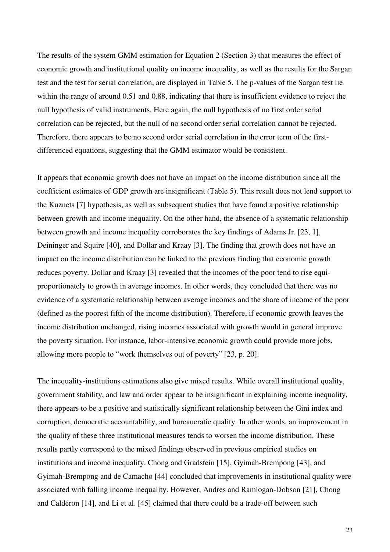The results of the system GMM estimation for Equation 2 (Section 3) that measures the effect of economic growth and institutional quality on income inequality, as well as the results for the Sargan test and the test for serial correlation, are displayed in Table 5. The p-values of the Sargan test lie within the range of around 0.51 and 0.88, indicating that there is insufficient evidence to reject the null hypothesis of valid instruments. Here again, the null hypothesis of no first order serial correlation can be rejected, but the null of no second order serial correlation cannot be rejected. Therefore, there appears to be no second order serial correlation in the error term of the firstdifferenced equations, suggesting that the GMM estimator would be consistent.

It appears that economic growth does not have an impact on the income distribution since all the coefficient estimates of GDP growth are insignificant (Table 5). This result does not lend support to the Kuznets [7] hypothesis, as well as subsequent studies that have found a positive relationship between growth and income inequality. On the other hand, the absence of a systematic relationship between growth and income inequality corroborates the key findings of Adams Jr. [23, 1], Deininger and Squire [40], and Dollar and Kraay [3]. The finding that growth does not have an impact on the income distribution can be linked to the previous finding that economic growth reduces poverty. Dollar and Kraay [3] revealed that the incomes of the poor tend to rise equiproportionately to growth in average incomes. In other words, they concluded that there was no evidence of a systematic relationship between average incomes and the share of income of the poor (defined as the poorest fifth of the income distribution). Therefore, if economic growth leaves the income distribution unchanged, rising incomes associated with growth would in general improve the poverty situation. For instance, labor-intensive economic growth could provide more jobs, allowing more people to "work themselves out of poverty" [23, p. 20].

The inequality-institutions estimations also give mixed results. While overall institutional quality, government stability, and law and order appear to be insignificant in explaining income inequality, there appears to be a positive and statistically significant relationship between the Gini index and corruption, democratic accountability, and bureaucratic quality. In other words, an improvement in the quality of these three institutional measures tends to worsen the income distribution. These results partly correspond to the mixed findings observed in previous empirical studies on institutions and income inequality. Chong and Gradstein [15], Gyimah-Brempong [43], and Gyimah-Brempong and de Camacho [44] concluded that improvements in institutional quality were associated with falling income inequality. However, Andres and Ramlogan-Dobson [21], Chong and Caldéron [14], and Li et al. [45] claimed that there could be a trade-off between such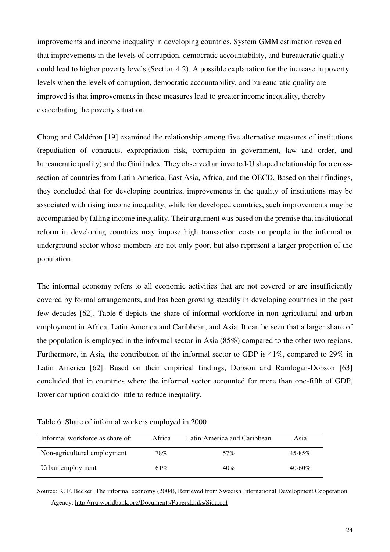improvements and income inequality in developing countries. System GMM estimation revealed that improvements in the levels of corruption, democratic accountability, and bureaucratic quality could lead to higher poverty levels (Section 4.2). A possible explanation for the increase in poverty levels when the levels of corruption, democratic accountability, and bureaucratic quality are improved is that improvements in these measures lead to greater income inequality, thereby exacerbating the poverty situation.

Chong and Caldéron [19] examined the relationship among five alternative measures of institutions (repudiation of contracts, expropriation risk, corruption in government, law and order, and bureaucratic quality) and the Gini index. They observed an inverted-U shaped relationship for a crosssection of countries from Latin America, East Asia, Africa, and the OECD. Based on their findings, they concluded that for developing countries, improvements in the quality of institutions may be associated with rising income inequality, while for developed countries, such improvements may be accompanied by falling income inequality. Their argument was based on the premise that institutional reform in developing countries may impose high transaction costs on people in the informal or underground sector whose members are not only poor, but also represent a larger proportion of the population.

The informal economy refers to all economic activities that are not covered or are insufficiently covered by formal arrangements, and has been growing steadily in developing countries in the past few decades [62]. Table 6 depicts the share of informal workforce in non-agricultural and urban employment in Africa, Latin America and Caribbean, and Asia. It can be seen that a larger share of the population is employed in the informal sector in Asia (85%) compared to the other two regions. Furthermore, in Asia, the contribution of the informal sector to GDP is 41%, compared to 29% in Latin America [62]. Based on their empirical findings, Dobson and Ramlogan-Dobson [63] concluded that in countries where the informal sector accounted for more than one-fifth of GDP, lower corruption could do little to reduce inequality.

Table 6: Share of informal workers employed in 2000

| Informal workforce as share of: | Africa | Latin America and Caribbean | Asia        |
|---------------------------------|--------|-----------------------------|-------------|
| Non-agricultural employment     | 78%    | 57%                         | $45 - 85\%$ |
| Urban employment                | 61%    | 40%                         | $40 - 60\%$ |

Source: K. F. Becker, The informal economy (2004), Retrieved from Swedish International Development Cooperation Agency:<http://rru.worldbank.org/Documents/PapersLinks/Sida.pdf>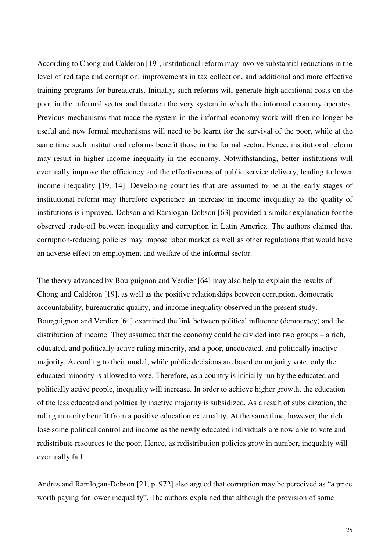According to Chong and Caldéron [19], institutional reform may involve substantial reductions in the level of red tape and corruption, improvements in tax collection, and additional and more effective training programs for bureaucrats. Initially, such reforms will generate high additional costs on the poor in the informal sector and threaten the very system in which the informal economy operates. Previous mechanisms that made the system in the informal economy work will then no longer be useful and new formal mechanisms will need to be learnt for the survival of the poor, while at the same time such institutional reforms benefit those in the formal sector. Hence, institutional reform may result in higher income inequality in the economy. Notwithstanding, better institutions will eventually improve the efficiency and the effectiveness of public service delivery, leading to lower income inequality [19, 14]. Developing countries that are assumed to be at the early stages of institutional reform may therefore experience an increase in income inequality as the quality of institutions is improved. Dobson and Ramlogan-Dobson [63] provided a similar explanation for the observed trade-off between inequality and corruption in Latin America. The authors claimed that corruption-reducing policies may impose labor market as well as other regulations that would have an adverse effect on employment and welfare of the informal sector.

The theory advanced by Bourguignon and Verdier [64] may also help to explain the results of Chong and Caldéron [19], as well as the positive relationships between corruption, democratic accountability, bureaucratic quality, and income inequality observed in the present study. Bourguignon and Verdier [64] examined the link between political influence (democracy) and the distribution of income. They assumed that the economy could be divided into two groups – a rich, educated, and politically active ruling minority, and a poor, uneducated, and politically inactive majority. According to their model, while public decisions are based on majority vote, only the educated minority is allowed to vote. Therefore, as a country is initially run by the educated and politically active people, inequality will increase. In order to achieve higher growth, the education of the less educated and politically inactive majority is subsidized. As a result of subsidization, the ruling minority benefit from a positive education externality. At the same time, however, the rich lose some political control and income as the newly educated individuals are now able to vote and redistribute resources to the poor. Hence, as redistribution policies grow in number, inequality will eventually fall.

Andres and Ramlogan-Dobson [21, p. 972] also argued that corruption may be perceived as "a price worth paying for lower inequality". The authors explained that although the provision of some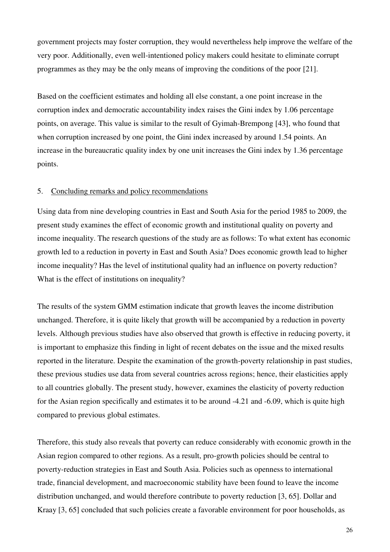government projects may foster corruption, they would nevertheless help improve the welfare of the very poor. Additionally, even well-intentioned policy makers could hesitate to eliminate corrupt programmes as they may be the only means of improving the conditions of the poor [21].

Based on the coefficient estimates and holding all else constant, a one point increase in the corruption index and democratic accountability index raises the Gini index by 1.06 percentage points, on average. This value is similar to the result of Gyimah-Brempong [43], who found that when corruption increased by one point, the Gini index increased by around 1.54 points. An increase in the bureaucratic quality index by one unit increases the Gini index by 1.36 percentage points.

# 5. Concluding remarks and policy recommendations

Using data from nine developing countries in East and South Asia for the period 1985 to 2009, the present study examines the effect of economic growth and institutional quality on poverty and income inequality. The research questions of the study are as follows: To what extent has economic growth led to a reduction in poverty in East and South Asia? Does economic growth lead to higher income inequality? Has the level of institutional quality had an influence on poverty reduction? What is the effect of institutions on inequality?

The results of the system GMM estimation indicate that growth leaves the income distribution unchanged. Therefore, it is quite likely that growth will be accompanied by a reduction in poverty levels. Although previous studies have also observed that growth is effective in reducing poverty, it is important to emphasize this finding in light of recent debates on the issue and the mixed results reported in the literature. Despite the examination of the growth-poverty relationship in past studies, these previous studies use data from several countries across regions; hence, their elasticities apply to all countries globally. The present study, however, examines the elasticity of poverty reduction for the Asian region specifically and estimates it to be around -4.21 and -6.09, which is quite high compared to previous global estimates.

Therefore, this study also reveals that poverty can reduce considerably with economic growth in the Asian region compared to other regions. As a result, pro-growth policies should be central to poverty-reduction strategies in East and South Asia. Policies such as openness to international trade, financial development, and macroeconomic stability have been found to leave the income distribution unchanged, and would therefore contribute to poverty reduction [3, 65]. Dollar and Kraay [3, 65] concluded that such policies create a favorable environment for poor households, as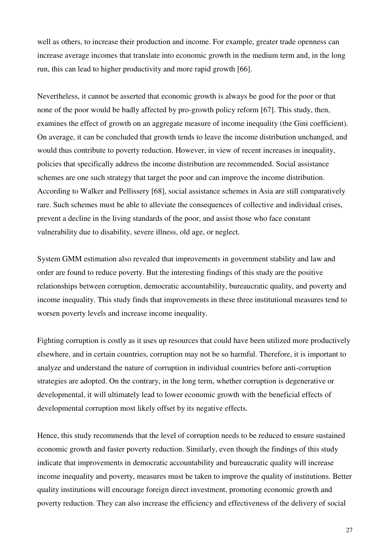well as others, to increase their production and income. For example, greater trade openness can increase average incomes that translate into economic growth in the medium term and, in the long run, this can lead to higher productivity and more rapid growth [66].

Nevertheless, it cannot be asserted that economic growth is always be good for the poor or that none of the poor would be badly affected by pro-growth policy reform [67]. This study, then, examines the effect of growth on an aggregate measure of income inequality (the Gini coefficient). On average, it can be concluded that growth tends to leave the income distribution unchanged, and would thus contribute to poverty reduction. However, in view of recent increases in inequality, policies that specifically address the income distribution are recommended. Social assistance schemes are one such strategy that target the poor and can improve the income distribution. According to Walker and Pellissery [68], social assistance schemes in Asia are still comparatively rare. Such schemes must be able to alleviate the consequences of collective and individual crises, prevent a decline in the living standards of the poor, and assist those who face constant vulnerability due to disability, severe illness, old age, or neglect.

System GMM estimation also revealed that improvements in government stability and law and order are found to reduce poverty. But the interesting findings of this study are the positive relationships between corruption, democratic accountability, bureaucratic quality, and poverty and income inequality. This study finds that improvements in these three institutional measures tend to worsen poverty levels and increase income inequality.

Fighting corruption is costly as it uses up resources that could have been utilized more productively elsewhere, and in certain countries, corruption may not be so harmful. Therefore, it is important to analyze and understand the nature of corruption in individual countries before anti-corruption strategies are adopted. On the contrary, in the long term, whether corruption is degenerative or developmental, it will ultimately lead to lower economic growth with the beneficial effects of developmental corruption most likely offset by its negative effects.

Hence, this study recommends that the level of corruption needs to be reduced to ensure sustained economic growth and faster poverty reduction. Similarly, even though the findings of this study indicate that improvements in democratic accountability and bureaucratic quality will increase income inequality and poverty, measures must be taken to improve the quality of institutions. Better quality institutions will encourage foreign direct investment, promoting economic growth and poverty reduction. They can also increase the efficiency and effectiveness of the delivery of social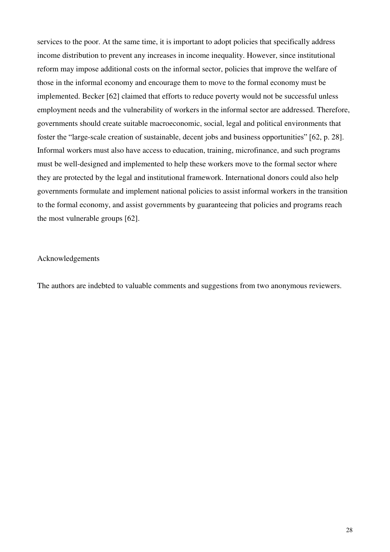services to the poor. At the same time, it is important to adopt policies that specifically address income distribution to prevent any increases in income inequality. However, since institutional reform may impose additional costs on the informal sector, policies that improve the welfare of those in the informal economy and encourage them to move to the formal economy must be implemented. Becker [62] claimed that efforts to reduce poverty would not be successful unless employment needs and the vulnerability of workers in the informal sector are addressed. Therefore, governments should create suitable macroeconomic, social, legal and political environments that foster the "large-scale creation of sustainable, decent jobs and business opportunities" [62, p. 28]. Informal workers must also have access to education, training, microfinance, and such programs must be well-designed and implemented to help these workers move to the formal sector where they are protected by the legal and institutional framework. International donors could also help governments formulate and implement national policies to assist informal workers in the transition to the formal economy, and assist governments by guaranteeing that policies and programs reach the most vulnerable groups [62].

# Acknowledgements

The authors are indebted to valuable comments and suggestions from two anonymous reviewers.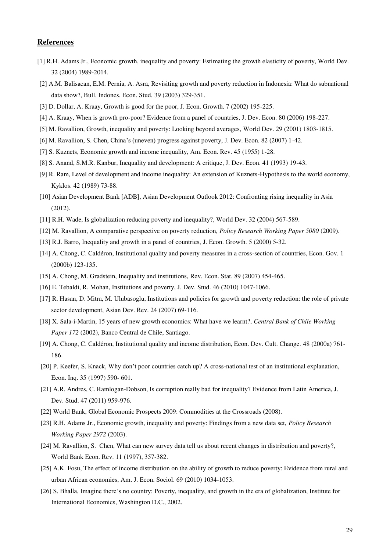#### **References**

- [1] R.H. Adams Jr., Economic growth, inequality and poverty: Estimating the growth elasticity of poverty, World Dev. 32 (2004) 1989-2014.
- [2] A.M. Balisacan, E.M. Pernia, A. Asra, Revisiting growth and poverty reduction in Indonesia: What do subnational data show?, Bull. Indones. Econ. Stud. 39 (2003) 329-351.
- [3] D. Dollar, A. Kraay, Growth is good for the poor, J. Econ. Growth. 7 (2002) 195-225.
- [4] A. Kraay, When is growth pro-poor? Evidence from a panel of countries, J. Dev. Econ. 80 (2006) 198-227.
- [5] M. Ravallion, Growth, inequality and poverty: Looking beyond averages, World Dev. 29 (2001) 1803-1815.
- [6] M. Ravallion, S. Chen, China's (uneven) progress against poverty, J. Dev. Econ. 82 (2007) 1-42.
- [7] S. Kuznets, Economic growth and income inequality, Am. Econ. Rev. 45 (1955) 1-28.
- [8] S. Anand, S.M.R. Kanbur, Inequality and development: A critique, J. Dev. Econ. 41 (1993) 19-43.
- [9] R. Ram, Level of development and income inequality: An extension of Kuznets-Hypothesis to the world economy, Kyklos. 42 (1989) 73-88.
- [10] Asian Development Bank [ADB], Asian Development Outlook 2012: Confronting rising inequality in Asia (2012).
- [11] R.H. Wade, Is globalization reducing poverty and inequality?, World Dev. 32 (2004) 567-589.
- [12] M. Ravallion, A comparative perspective on poverty reduction, *Policy Research Working Paper 5080* (2009).
- [13] R.J. Barro, Inequality and growth in a panel of countries, J. Econ. Growth. 5 (2000) 5-32.
- [14] A. Chong, C. Caldéron, Institutional quality and poverty measures in a cross-section of countries, Econ. Gov. 1 (2000b) 123-135.
- [15] A. Chong, M. Gradstein, Inequality and institutions, Rev. Econ. Stat. 89 (2007) 454-465.
- [16] E. Tebaldi, R. Mohan, Institutions and poverty, J. Dev. Stud. 46 (2010) 1047-1066.
- [17] R. Hasan, D. Mitra, M. Ulubasoglu, Institutions and policies for growth and poverty reduction: the role of private sector development, Asian Dev. Rev. 24 (2007) 69-116.
- [18] X. Sala-i-Martin, 15 years of new growth economics: What have we learnt?, *Central Bank of Chile Working Paper 172* (2002), Banco Central de Chile, Santiago.
- [19] A. Chong, C. Caldéron, Institutional quality and income distribution, Econ. Dev. Cult. Change. 48 (2000a) 761- 186.
- [20] P. Keefer, S. Knack, Why don't poor countries catch up? A cross-national test of an institutional explanation, Econ. Inq. 35 (1997) 590- 601.
- [21] A.R. Andres, C. Ramlogan-Dobson, Is corruption really bad for inequality? Evidence from Latin America, J. Dev. Stud. 47 (2011) 959-976.
- [22] World Bank, Global Economic Prospects 2009: Commodities at the Crossroads (2008).
- [23] R.H. Adams Jr., Economic growth, inequality and poverty: Findings from a new data set, *Policy Research Working Paper 2972* (2003).
- [24] M. Ravallion, S. Chen, What can new survey data tell us about recent changes in distribution and poverty?, World Bank Econ. Rev. 11 (1997), 357-382.
- [25] A.K. Fosu, The effect of income distribution on the ability of growth to reduce poverty: Evidence from rural and urban African economies, Am. J. Econ. Sociol. 69 (2010) 1034-1053.
- [26] S. Bhalla, Imagine there's no country: Poverty, inequality, and growth in the era of globalization, Institute for International Economics, Washington D.C., 2002.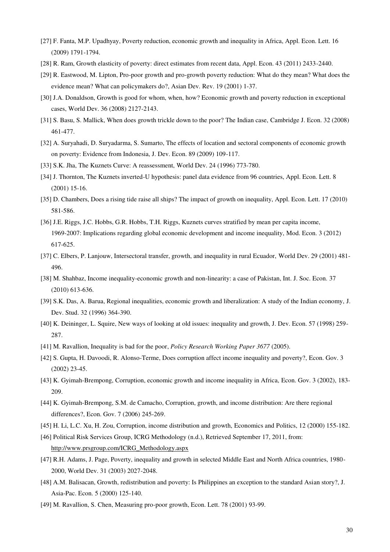- [27] F. Fanta, M.P. Upadhyay, Poverty reduction, economic growth and inequality in Africa, Appl. Econ. Lett. 16 (2009) 1791-1794.
- [28] R. Ram, Growth elasticity of poverty: direct estimates from recent data, Appl. Econ. 43 (2011) 2433-2440.
- [29] R. Eastwood, M. Lipton, Pro-poor growth and pro-growth poverty reduction: What do they mean? What does the evidence mean? What can policymakers do?, Asian Dev. Rev. 19 (2001) 1-37.
- [30] J.A. Donaldson, Growth is good for whom, when, how? Economic growth and poverty reduction in exceptional cases, World Dev. 36 (2008) 2127-2143.
- [31] S. Basu, S. Mallick, When does growth trickle down to the poor? The Indian case, Cambridge J. Econ. 32 (2008) 461-477.
- [32] A. Suryahadi, D. Suryadarma, S. Sumarto, The effects of location and sectoral components of economic growth on poverty: Evidence from Indonesia, J. Dev. Econ. 89 (2009) 109-117.
- [33] S.K. Jha, The Kuznets Curve: A reassessment, World Dev. 24 (1996) 773-780.
- [34] J. Thornton, The Kuznets inverted-U hypothesis: panel data evidence from 96 countries, Appl. Econ. Lett. 8 (2001) 15-16.
- [35] D. Chambers, Does a rising tide raise all ships? The impact of growth on inequality, Appl. Econ. Lett. 17 (2010) 581-586.
- [36] J.E. Riggs, J.C. Hobbs, G.R. Hobbs, T.H. Riggs, Kuznets curves stratified by mean per capita income, 1969-2007: Implications regarding global economic development and income inequality, Mod. Econ. 3 (2012) 617-625.
- [37] C. Elbers, P. Lanjouw, Intersectoral transfer, growth, and inequality in rural Ecuador, World Dev. 29 (2001) 481- 496.
- [38] M. Shahbaz, Income inequality-economic growth and non-linearity: a case of Pakistan, Int. J. Soc. Econ. 37 (2010) 613-636.
- [39] S.K. Das, A. Barua, Regional inequalities, economic growth and liberalization: A study of the Indian economy, J. Dev. Stud. 32 (1996) 364-390.
- [40] K. Deininger, L. Squire, New ways of looking at old issues: inequality and growth, J. Dev. Econ. 57 (1998) 259- 287.
- [41] M. Ravallion, Inequality is bad for the poor, *Policy Research Working Paper 3677* (2005).
- [42] S. Gupta, H. Davoodi, R. Alonso-Terme, Does corruption affect income inequality and poverty?, Econ. Gov. 3 (2002) 23-45.
- [43] K. Gyimah-Brempong, Corruption, economic growth and income inequality in Africa, Econ. Gov. 3 (2002), 183- 209.
- [44] K. Gyimah-Brempong, S.M. de Camacho, Corruption, growth, and income distribution: Are there regional differences?, Econ. Gov. 7 (2006) 245-269.
- [45] H. Li, L.C. Xu, H. Zou, Corruption, income distribution and growth, Economics and Politics, 12 (2000) 155-182.
- [46] Political Risk Services Group, ICRG Methodology (n.d.), Retrieved September 17, 2011, from: [http://www.prsgroup.com/ICRG\\_Methodology.aspx](http://www.prsgroup.com/ICRG_Methodology.aspx)
- [47] R.H. Adams, J. Page, Poverty, inequality and growth in selected Middle East and North Africa countries, 1980- 2000, World Dev. 31 (2003) 2027-2048.
- [48] A.M. Balisacan, Growth, redistribution and poverty: Is Philippines an exception to the standard Asian story?, J. Asia-Pac. Econ. 5 (2000) 125-140.
- [49] M. Ravallion, S. Chen, Measuring pro-poor growth, Econ. Lett. 78 (2001) 93-99.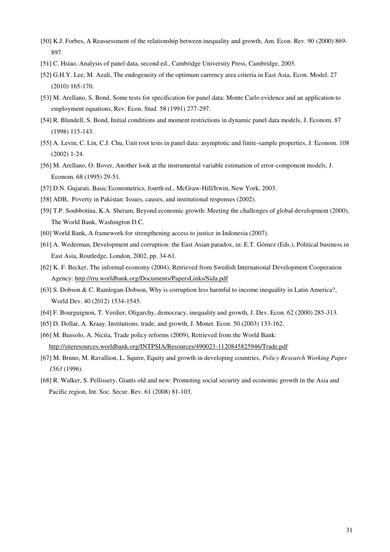- [50] K.J. Forbes, A Reassessment of the relationship between inequality and growth, Am. Econ. Rev. 90 (2000) 869- 897.
- [51] C. Hsiao, Analysis of panel data, second ed., Cambridge University Press, Cambridge, 2003.
- [52] G.H.Y. Lee, M. Azali, The endogeneity of the optimum currency area criteria in East Asia, Econ. Model. 27 (2010) 165-170.
- [53] M. Arellano, S. Bond, Some tests for specification for panel data: Monte Carlo evidence and an application to employment equations, Rev. Econ. Stud. 58 (1991) 277-297.
- [54] R. Blundell, S. Bond, Initial conditions and moment restrictions in dynamic panel data models, J. Econom. 87 (1998) 115-143.
- [55] A. Levin, C. Lin, C.J. Chu, Unit root tests in panel data: asymptotic and finite-sample properties, J. Econom. 108 (2002) 1-24.
- [56] M. Arellano, O. Bover, Another look at the instrumental variable estimation of error-component models, J. Econom. 68 (1995) 29-51.
- [57] D.N. Gujarati, Basic Econometrics*,* fourth ed., McGraw-Hill/Irwin, New York, 2003.
- [58] ADB, Poverty in Pakistan: Issues, causes, and institutional responses (2002).
- [59] T.P. Soubbotina, K.A. Sheram, Beyond economic growth: Meeting the challenges of global development (2000), The World Bank, Washington D.C.
- [60] World Bank, A framework for strengthening access to justice in Indonesia (2007).
- [61] A. Wederman, Development and corruption: the East Asian paradox, in: E.T. Gómez (Eds.), Political business in East Asia, Routledge, London, 2002, pp. 34-61.
- [62] K. F. Becker, The informal economy (2004), Retrieved from Swedish International Development Cooperation Agency:<http://rru.worldbank.org/Documents/PapersLinks/Sida.pdf>
- [63] S. Dobson & C. Ramlogan-Dobson, Why is corruption less harmful to income inequality in Latin America?, World Dev. 40 (2012) 1534-1545.
- [64] F. Bourguignon, T. Verdier, Oligarchy, democracy, inequality and growth, J. Dev. Econ. 62 (2000) 285-313.
- [65] D. Dollar, A. Kraay, Institutions, trade, and growth, J. Monet. Econ. 50 (2003) 133-162.
- [66] M. Bussolo, A. Nicita, Trade policy reforms (2009), Retrieved from the World Bank: <http://siteresources.worldbank.org/INTPSIA/Resources/490023-1120845825946/Trade.pdf>
- [67] M. Bruno, M. Ravallion, L. Squire, Equity and growth in developing countries, *Policy Research Working Paper 1563* (1996).
- [68] R. Walker, S. Pellissery, Giants old and new: Promoting social security and economic growth in the Asia and Pacific region, Int. Soc. Secur. Rev. 61 (2008) 81-103.